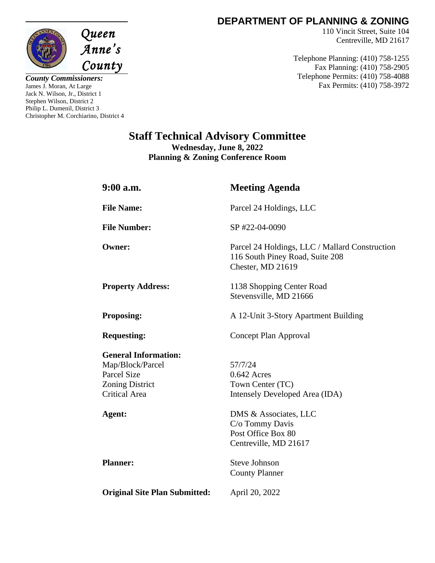

*County Commissioners:* James J. Moran, At Large Jack N. Wilson, Jr., District 1 Stephen Wilson, District 2 Philip L. Dumenil, District 3 Christopher M. Corchiarino, District 4

## **DEPARTMENT OF PLANNING & ZONING**

110 Vincit Street, Suite 104 Centreville, MD 21617

Telephone Planning: (410) 758-1255 Fax Planning: (410) 758-2905 Telephone Permits: (410) 758-4088 Fax Permits: (410) 758-3972

## **Staff Technical Advisory Committee Wednesday, June 8, 2022**

**Planning & Zoning Conference Room**

| $9:00$ a.m.                                                                                                             | <b>Meeting Agenda</b>                                                                                  |
|-------------------------------------------------------------------------------------------------------------------------|--------------------------------------------------------------------------------------------------------|
| <b>File Name:</b>                                                                                                       | Parcel 24 Holdings, LLC                                                                                |
| <b>File Number:</b>                                                                                                     | SP #22-04-0090                                                                                         |
| <b>Owner:</b>                                                                                                           | Parcel 24 Holdings, LLC / Mallard Construction<br>116 South Piney Road, Suite 208<br>Chester, MD 21619 |
| <b>Property Address:</b>                                                                                                | 1138 Shopping Center Road<br>Stevensville, MD 21666                                                    |
| <b>Proposing:</b>                                                                                                       | A 12-Unit 3-Story Apartment Building                                                                   |
| <b>Requesting:</b>                                                                                                      | Concept Plan Approval                                                                                  |
| <b>General Information:</b><br>Map/Block/Parcel<br><b>Parcel Size</b><br><b>Zoning District</b><br><b>Critical Area</b> | 57/7/24<br>0.642 Acres<br>Town Center (TC)<br>Intensely Developed Area (IDA)                           |
| Agent:                                                                                                                  | DMS & Associates, LLC<br>C/o Tommy Davis<br>Post Office Box 80<br>Centreville, MD 21617                |
| <b>Planner:</b>                                                                                                         | <b>Steve Johnson</b><br><b>County Planner</b>                                                          |
| <b>Original Site Plan Submitted:</b>                                                                                    | April 20, 2022                                                                                         |